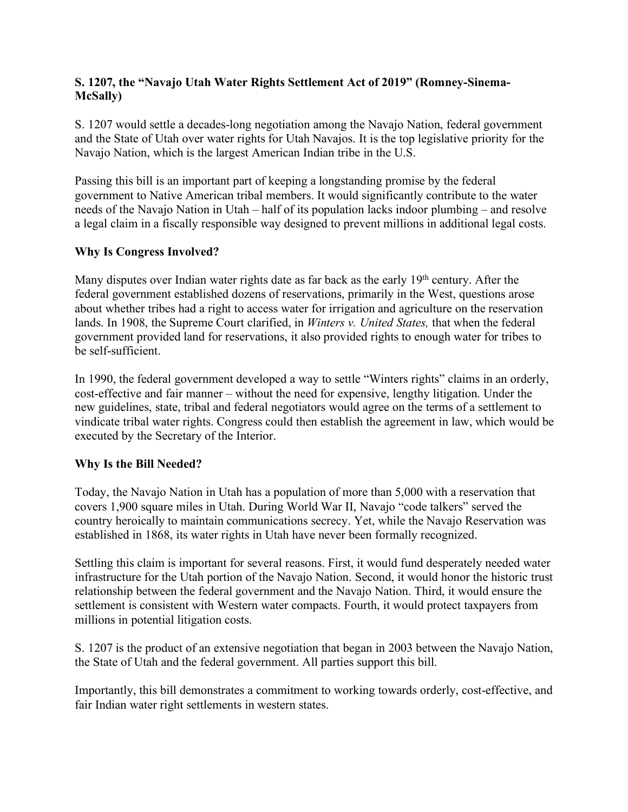## **S. 1207, the "Navajo Utah Water Rights Settlement Act of 2019" (Romney-Sinema-McSally)**

S. 1207 would settle a decades-long negotiation among the Navajo Nation, federal government and the State of Utah over water rights for Utah Navajos. It is the top legislative priority for the Navajo Nation, which is the largest American Indian tribe in the U.S.

Passing this bill is an important part of keeping a longstanding promise by the federal government to Native American tribal members. It would significantly contribute to the water needs of the Navajo Nation in Utah – half of its population lacks indoor plumbing – and resolve a legal claim in a fiscally responsible way designed to prevent millions in additional legal costs.

## **Why Is Congress Involved?**

Many disputes over Indian water rights date as far back as the early 19<sup>th</sup> century. After the federal government established dozens of reservations, primarily in the West, questions arose about whether tribes had a right to access water for irrigation and agriculture on the reservation lands. In 1908, the Supreme Court clarified, in *Winters v. United States,* that when the federal government provided land for reservations, it also provided rights to enough water for tribes to be self-sufficient.

In 1990, the federal government developed a way to settle "Winters rights" claims in an orderly, cost-effective and fair manner – without the need for expensive, lengthy litigation. Under the new guidelines, state, tribal and federal negotiators would agree on the terms of a settlement to vindicate tribal water rights. Congress could then establish the agreement in law, which would be executed by the Secretary of the Interior.

## **Why Is the Bill Needed?**

Today, the Navajo Nation in Utah has a population of more than 5,000 with a reservation that covers 1,900 square miles in Utah. During World War II, Navajo "code talkers" served the country heroically to maintain communications secrecy. Yet, while the Navajo Reservation was established in 1868, its water rights in Utah have never been formally recognized.

Settling this claim is important for several reasons. First, it would fund desperately needed water infrastructure for the Utah portion of the Navajo Nation. Second, it would honor the historic trust relationship between the federal government and the Navajo Nation. Third, it would ensure the settlement is consistent with Western water compacts. Fourth, it would protect taxpayers from millions in potential litigation costs.

S. 1207 is the product of an extensive negotiation that began in 2003 between the Navajo Nation, the State of Utah and the federal government. All parties support this bill.

Importantly, this bill demonstrates a commitment to working towards orderly, cost-effective, and fair Indian water right settlements in western states.